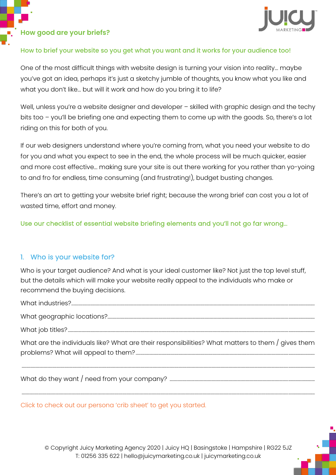### **How good are your briefs?**



### How to brief your website so you get what you want and it works for your audience too!

One of the most difficult things with website design is turning your vision into reality... maybe you've got an idea, perhaps it's just a sketchy jumble of thoughts, you know what you like and what you don't like... but will it work and how do you bring it to life?

Well, unless you're a website designer and developer - skilled with graphic design and the techy bits too – you'll be briefing one and expecting them to come up with the goods. So, there's a lot riding on this for both of you.

If our web designers understand where you're coming from, what you need your website to do for you and what you expect to see in the end, the whole process will be much quicker, easier and more cost effective... making sure your site is out there working for you rather than yo-yoing to and fro for endless, time consuming (and frustrating!), budget busting changes.

There's an art to getting your website brief right; because the wrong brief can cost you a lot of wasted time, effort and money.

Use our checklist of essential website briefing elements and you'll not go far wrong...

### 1. Who is your website for?

Who is your target audience? And what is your ideal customer like? Not just the top level stuff, but the details which will make your website really appeal to the individuals who make or recommend the buying decisions.

What industries?................................................................................................................................................................................................ ……………………

What geographic locations?................................................................................................................................................................ ……………………

What job titles? ................................................................................................................................................................................................... ……………………

What are the individuals like? What are their responsibilities? What matters to them / gives them problems? What will appeal to them?....................................................................................................................................... ……………………

............................................................................................................................................................................................................................................ ……………………

What do they want / need from your company? ......................................................................................................... ……………………

[Click to check out our persona 'crib sheet' to get you started.](https://juicymarketing.co.uk/wp-content/uploads/2019/09/Build-Your-Ideal-Personas-2019.pdf)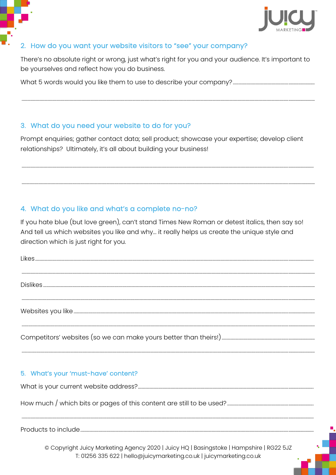

# 2. How do you want your website visitors to "see" your company?

There's no absolute right or wrong, just what's right for you and your audience. It's important to be yourselves and reflect how you do business.

# 3. What do you need your website to do for you?

Prompt enquiries; gather contact data; sell product; showcase your expertise; develop client relationships? Ultimately, it's all about building your business!

# 4. What do you like and what's a complete no-no?

If you hate blue (but love green), can't stand Times New Roman or detest italics, then say so! And tell us which websites you like and why... it really helps us create the unique style and direction which is just right for you.

| 5. What's your 'must-have' content?                                                     |
|-----------------------------------------------------------------------------------------|
|                                                                                         |
|                                                                                         |
|                                                                                         |
|                                                                                         |
|                                                                                         |
| © Copyright Juicy Marketing Agency 2020   Juicy HQ   Basingstoke   Hampshire   RG22 5JZ |

T: 01256 335 622 | hello@juicymarketing.co.uk | juicymarketing.co.uk